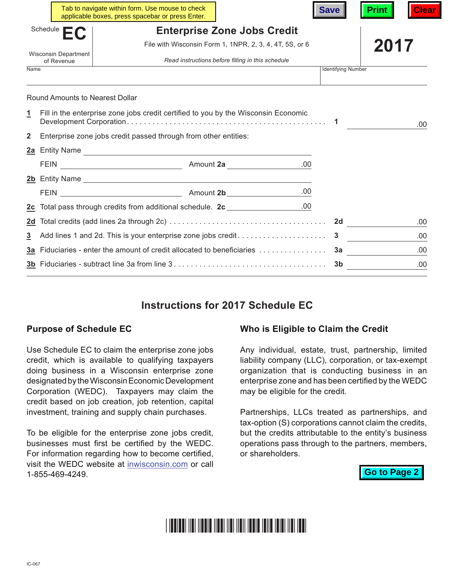|                                                                                                                              |                                                                               | Tab to navigate within form. Use mouse to check<br>applicable boxes, press spacebar or press Enter. |                                                         | <b>Save</b>               | Clear<br><b>Print</b> |
|------------------------------------------------------------------------------------------------------------------------------|-------------------------------------------------------------------------------|-----------------------------------------------------------------------------------------------------|---------------------------------------------------------|---------------------------|-----------------------|
|                                                                                                                              | Schedule                                                                      |                                                                                                     | <b>Enterprise Zone Jobs Credit</b>                      |                           |                       |
|                                                                                                                              |                                                                               |                                                                                                     | File with Wisconsin Form 1, 1NPR, 2, 3, 4, 4T, 5S, or 6 |                           | 2017                  |
| <b>Wisconsin Department</b><br>of Revenue                                                                                    |                                                                               | Read instructions before filling in this schedule                                                   |                                                         |                           |                       |
| Name                                                                                                                         |                                                                               |                                                                                                     |                                                         | <b>Identifying Number</b> |                       |
| <b>Round Amounts to Nearest Dollar</b><br>Fill in the enterprise zone jobs credit certified to you by the Wisconsin Economic |                                                                               |                                                                                                     |                                                         |                           |                       |
| <u>1</u>                                                                                                                     |                                                                               |                                                                                                     |                                                         |                           | .00                   |
| $\mathbf{2}$                                                                                                                 | Enterprise zone jobs credit passed through from other entities:               |                                                                                                     |                                                         |                           |                       |
|                                                                                                                              |                                                                               | 2a Entity Name                                                                                      |                                                         |                           |                       |
|                                                                                                                              |                                                                               |                                                                                                     |                                                         |                           |                       |
|                                                                                                                              |                                                                               | 2b Entity Name                                                                                      |                                                         |                           |                       |
|                                                                                                                              |                                                                               |                                                                                                     |                                                         |                           |                       |
|                                                                                                                              | 2c Total pass through credits from additional schedule. 2c ________________00 |                                                                                                     |                                                         |                           |                       |
| 2d                                                                                                                           |                                                                               |                                                                                                     |                                                         |                           | .00                   |
| 3                                                                                                                            |                                                                               |                                                                                                     |                                                         | .00                       |                       |
|                                                                                                                              | 3a Fiduciaries - enter the amount of credit allocated to beneficiaries        |                                                                                                     |                                                         |                           | 3a<br>.00             |
|                                                                                                                              |                                                                               |                                                                                                     |                                                         |                           | .00                   |

# **Instructions for 2017 Schedule EC**

#### **Purpose of Schedule EC**

Use Schedule EC to claim the enterprise zone jobs credit, which is available to qualifying taxpayers doing business in a Wisconsin enterprise zone designated by the Wisconsin Economic Development Corporation (WEDC). Taxpayers may claim the credit based on job creation, job retention, capital investment, training and supply chain purchases.

To be eligible for the enterprise zone jobs credit, businesses must first be certified by the WEDC. For information regarding how to become certified, visit the WEDC website at [inwisconsin.com](http://www.inwisconsin.com) or call 1-855-469-4249.

#### **Who is Eligible to Claim the Credit**

Any individual, estate, trust, partnership, limited liability company (LLC), corporation, or tax-exempt organization that is conducting business in an enterprise zone and has been certified by the WEDC may be eligible for the credit.

Partnerships, LLCs treated as partnerships, and tax-option (S) corporations cannot claim the credits, but the credits attributable to the entity's business operations pass through to the partners, members, or shareholders.

**Go to Page 2**

#